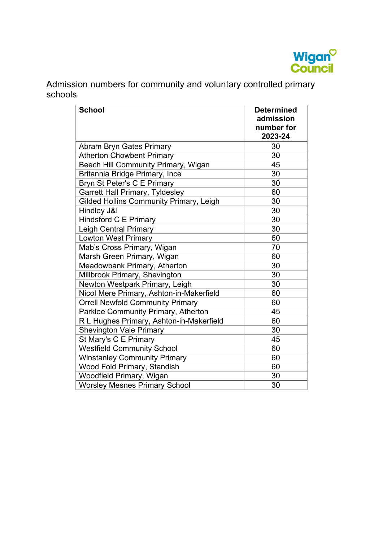

Admission numbers for community and voluntary controlled primary schools

| <b>School</b>                                  | <b>Determined</b><br>admission<br>number for<br>2023-24 |
|------------------------------------------------|---------------------------------------------------------|
| <b>Abram Bryn Gates Primary</b>                | 30                                                      |
| <b>Atherton Chowbent Primary</b>               | 30                                                      |
| Beech Hill Community Primary, Wigan            | 45                                                      |
| Britannia Bridge Primary, Ince                 | 30                                                      |
| Bryn St Peter's C E Primary                    | 30                                                      |
| <b>Garrett Hall Primary, Tyldesley</b>         | 60                                                      |
| <b>Gilded Hollins Community Primary, Leigh</b> | 30                                                      |
| Hindley J&I                                    | 30                                                      |
| <b>Hindsford C E Primary</b>                   | 30                                                      |
| <b>Leigh Central Primary</b>                   | 30                                                      |
| <b>Lowton West Primary</b>                     | 60                                                      |
| Mab's Cross Primary, Wigan                     | 70                                                      |
| Marsh Green Primary, Wigan                     | 60                                                      |
| Meadowbank Primary, Atherton                   | 30                                                      |
| Millbrook Primary, Shevington                  | 30                                                      |
| Newton Westpark Primary, Leigh                 | 30                                                      |
| Nicol Mere Primary, Ashton-in-Makerfield       | 60                                                      |
| <b>Orrell Newfold Community Primary</b>        | 60                                                      |
| Parklee Community Primary, Atherton            | 45                                                      |
| R L Hughes Primary, Ashton-in-Makerfield       | 60                                                      |
| <b>Shevington Vale Primary</b>                 | 30                                                      |
| St Mary's C E Primary                          | 45                                                      |
| <b>Westfield Community School</b>              | 60                                                      |
| <b>Winstanley Community Primary</b>            | 60                                                      |
| Wood Fold Primary, Standish                    | 60                                                      |
| Woodfield Primary, Wigan                       | 30                                                      |
| <b>Worsley Mesnes Primary School</b>           | 30                                                      |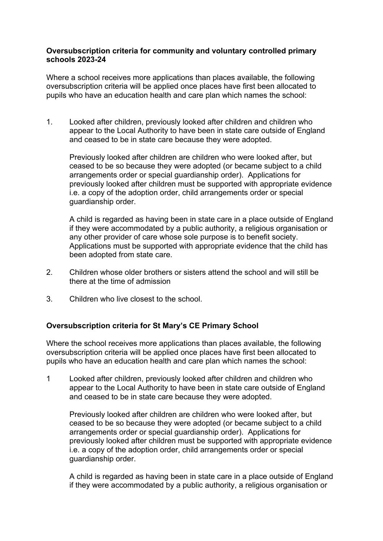## **schools 2023-24 Oversubscription criteria for community and voluntary controlled primary**

Where a school receives more applications than places available, the following oversubscription criteria will be applied once places have first been allocated to pupils who have an education health and care plan which names the school:

1. Looked after children, previously looked after children and children who appear to the Local Authority to have been in state care outside of England and ceased to be in state care because they were adopted.

Previously looked after children are children who were looked after, but ceased to be so because they were adopted (or became subject to a child arrangements order or special guardianship order). Applications for previously looked after children must be supported with appropriate evidence i.e. a copy of the adoption order, child arrangements order or special guardianship order.

any other provider of care whose sole purpose is to benefit society. A child is regarded as having been in state care in a place outside of England if they were accommodated by a public authority, a religious organisation or Applications must be supported with appropriate evidence that the child has been adopted from state care.

- 2. Children whose older brothers or sisters attend the school and will still be there at the time of admission
- 3. Children who live closest to the school.

## **Oversubscription criteria for St Mary's CE Primary School**

Where the school receives more applications than places available, the following oversubscription criteria will be applied once places have first been allocated to pupils who have an education health and care plan which names the school:

1 Looked after children, previously looked after children and children who appear to the Local Authority to have been in state care outside of England and ceased to be in state care because they were adopted.

Previously looked after children are children who were looked after, but ceased to be so because they were adopted (or became subject to a child arrangements order or special guardianship order). Applications for previously looked after children must be supported with appropriate evidence i.e. a copy of the adoption order, child arrangements order or special guardianship order.

A child is regarded as having been in state care in a place outside of England if they were accommodated by a public authority, a religious organisation or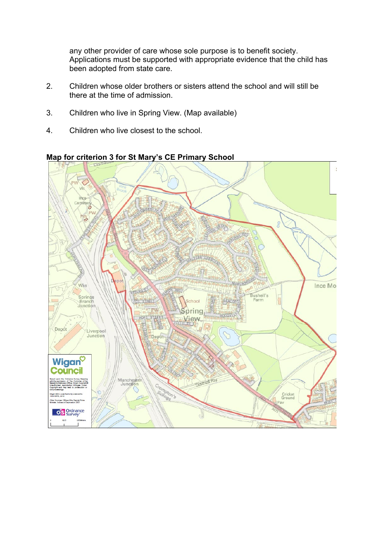any other provider of care whose sole purpose is to benefit society. Applications must be supported with appropriate evidence that the child has been adopted from state care.

- 2. Children whose older brothers or sisters attend the school and will still be there at the time of admission.
- 3. Children who live in Spring View. (Map available)
- 4. Children who live closest to the school.



## **Map for criterion 3 for St Mary's CE Primary School**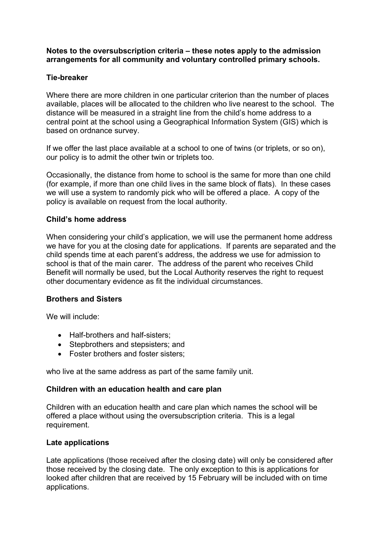### **Notes to the oversubscription criteria – these notes apply to the admission arrangements for all community and voluntary controlled primary schools.**

## **Tie-breaker**

 central point at the school using a Geographical Information System (GIS) which is Where there are more children in one particular criterion than the number of places available, places will be allocated to the children who live nearest to the school. The distance will be measured in a straight line from the child's home address to a based on ordnance survey.

our policy is to admit the other twin or triplets too. If we offer the last place available at a school to one of twins (or triplets, or so on),

 (for example, if more than one child lives in the same block of flats). In these cases we will use a system to randomly pick who will be offered a place. A copy of the Occasionally, the distance from home to school is the same for more than one child policy is available on request from the local authority.

### **Child's home address**

 school is that of the main carer. The address of the parent who receives Child When considering your child's application, we will use the permanent home address we have for you at the closing date for applications. If parents are separated and the child spends time at each parent's address, the address we use for admission to Benefit will normally be used, but the Local Authority reserves the right to request other documentary evidence as fit the individual circumstances.

### **Brothers and Sisters**

We will include:

- Half-brothers and half-sisters;
- Stepbrothers and stepsisters; and
- Foster brothers and foster sisters;

who live at the same address as part of the same family unit.

### **Children with an education health and care plan**

 requirement. Children with an education health and care plan which names the school will be offered a place without using the oversubscription criteria. This is a legal

### **Late applications**

 those received by the closing date. The only exception to this is applications for applications. Late applications (those received after the closing date) will only be considered after looked after children that are received by 15 February will be included with on time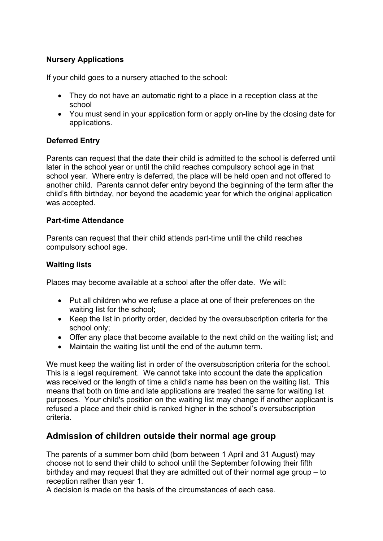## **Nursery Applications**

If your child goes to a nursery attached to the school:

- They do not have an automatic right to a place in a reception class at the school
- You must send in your application form or apply on-line by the closing date for applications.

## **Deferred Entry**

 school year. Where entry is deferred, the place will be held open and not offered to Parents can request that the date their child is admitted to the school is deferred until later in the school year or until the child reaches compulsory school age in that another child. Parents cannot defer entry beyond the beginning of the term after the child's fifth birthday, nor beyond the academic year for which the original application was accepted.

## **Part-time Attendance**

Parents can request that their child attends part-time until the child reaches compulsory school age.

## **Waiting lists**

Places may become available at a school after the offer date. We will:

- Put all children who we refuse a place at one of their preferences on the waiting list for the school;
- Keep the list in priority order, decided by the oversubscription criteria for the school only;
- Offer any place that become available to the next child on the waiting list; and
- Maintain the waiting list until the end of the autumn term.

 We must keep the waiting list in order of the oversubscription criteria for the school. This is a legal requirement. We cannot take into account the date the application was received or the length of time a child's name has been on the waiting list. This purposes. Your child's position on the waiting list may change if another applicant is means that both on time and late applications are treated the same for waiting list refused a place and their child is ranked higher in the school's oversubscription criteria.

# **Admission of children outside their normal age group**

The parents of a summer born child (born between 1 April and 31 August) may choose not to send their child to school until the September following their fifth birthday and may request that they are admitted out of their normal age group – to reception rather than year 1.

A decision is made on the basis of the circumstances of each case.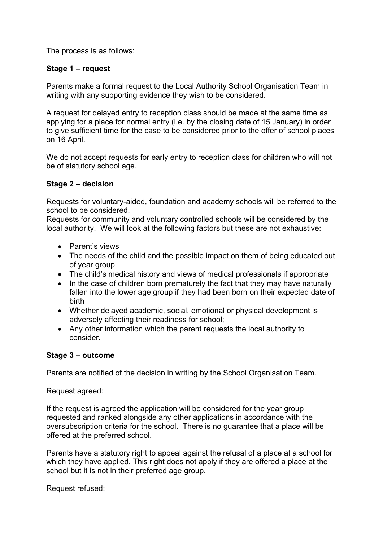The process is as follows:

## **Stage 1 – request**

Parents make a formal request to the Local Authority School Organisation Team in writing with any supporting evidence they wish to be considered.

A request for delayed entry to reception class should be made at the same time as applying for a place for normal entry (i.e. by the closing date of 15 January) in order to give sufficient time for the case to be considered prior to the offer of school places on 16 April.

We do not accept requests for early entry to reception class for children who will not be of statutory school age.

## **Stage 2 – decision**

Requests for voluntary-aided, foundation and academy schools will be referred to the school to be considered.

Requests for community and voluntary controlled schools will be considered by the local authority. We will look at the following factors but these are not exhaustive:

- Parent's views
- of year group • The needs of the child and the possible impact on them of being educated out
- The child's medical history and views of medical professionals if appropriate
- In the case of children born prematurely the fact that they may have naturally fallen into the lower age group if they had been born on their expected date of birth
- Whether delayed academic, social, emotional or physical development is adversely affecting their readiness for school;
- consider. • Any other information which the parent requests the local authority to

### **Stage 3 – outcome**

Parents are notified of the decision in writing by the School Organisation Team.

Request agreed:

If the request is agreed the application will be considered for the year group requested and ranked alongside any other applications in accordance with the oversubscription criteria for the school. There is no guarantee that a place will be offered at the preferred school.

Parents have a statutory right to appeal against the refusal of a place at a school for which they have applied. This right does not apply if they are offered a place at the school but it is not in their preferred age group.

Request refused: